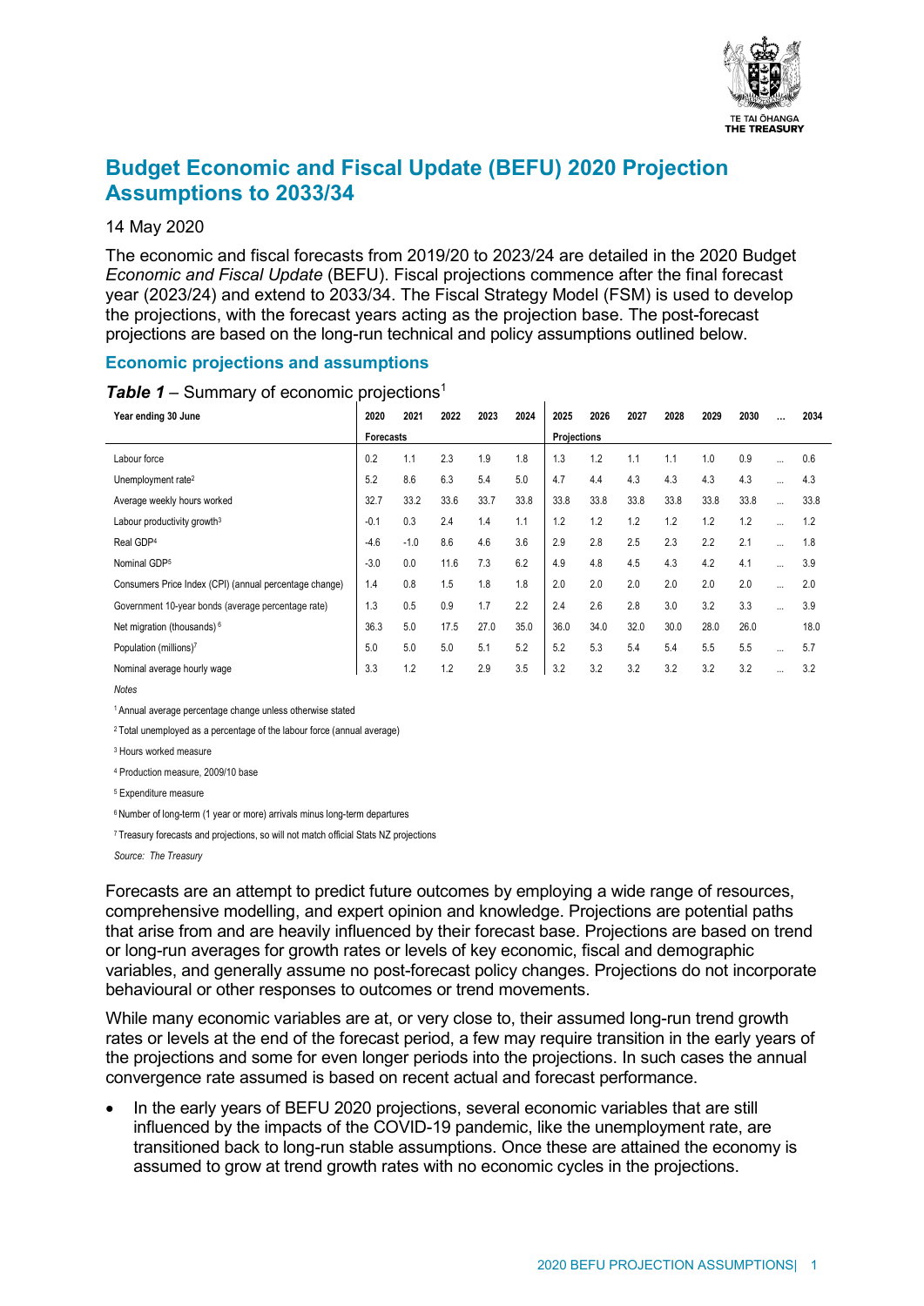

# **Budget Economic and Fiscal Update (BEFU) 2020 Projection Assumptions to 2033/34**

#### 14 May 2020

The economic and fiscal forecasts from 2019/20 to 2023/24 are detailed in the 2020 Budget *Economic and Fiscal Update* (BEFU). Fiscal projections commence after the final forecast year (2023/24) and extend to 2033/34. The Fiscal Strategy Model (FSM) is used to develop the projections, with the forecast years acting as the projection base. The post-forecast projections are based on the long-run technical and policy assumptions outlined below.

## **Economic projections and assumptions**

| Year ending 30 June                                    | 2020             | 2021   | 2022 | 2023 | 2024 | 2025        | 2026 | 2027 | 2028 | 2029 | 2030 |          | 2034 |
|--------------------------------------------------------|------------------|--------|------|------|------|-------------|------|------|------|------|------|----------|------|
|                                                        | <b>Forecasts</b> |        |      |      |      | Projections |      |      |      |      |      |          |      |
| Labour force                                           | 0.2              | 1.1    | 2.3  | 1.9  | 1.8  | 1.3         | 1.2  | 1.1  | 1.1  | 1.0  | 0.9  | $\cdots$ | 0.6  |
| Unemployment rate <sup>2</sup>                         | 5.2              | 8.6    | 6.3  | 5.4  | 5.0  | 4.7         | 4.4  | 4.3  | 4.3  | 4.3  | 4.3  | $\cdots$ | 4.3  |
| Average weekly hours worked                            | 32.7             | 33.2   | 33.6 | 33.7 | 33.8 | 33.8        | 33.8 | 33.8 | 33.8 | 33.8 | 33.8 | $\cdots$ | 33.8 |
| Labour productivity growth <sup>3</sup>                | $-0.1$           | 0.3    | 2.4  | 1.4  | 1.1  | 1.2         | 1.2  | 1.2  | 1.2  | 1.2  | 1.2  |          | 1.2  |
| Real GDP <sup>4</sup>                                  | $-4.6$           | $-1.0$ | 8.6  | 4.6  | 3.6  | 2.9         | 2.8  | 2.5  | 2.3  | 2.2  | 2.1  |          | 1.8  |
| Nominal GDP5                                           | $-3.0$           | 0.0    | 11.6 | 7.3  | 6.2  | 4.9         | 4.8  | 4.5  | 4.3  | 4.2  | 4.1  | $\cdots$ | 3.9  |
| Consumers Price Index (CPI) (annual percentage change) | 1.4              | 0.8    | 1.5  | 1.8  | 1.8  | 2.0         | 2.0  | 2.0  | 2.0  | 2.0  | 2.0  |          | 2.0  |
| Government 10-year bonds (average percentage rate)     | 1.3              | 0.5    | 0.9  | 1.7  | 2.2  | 2.4         | 2.6  | 2.8  | 3.0  | 3.2  | 3.3  | $\cdots$ | 3.9  |
| Net migration (thousands) <sup>6</sup>                 | 36.3             | 5.0    | 17.5 | 27.0 | 35.0 | 36.0        | 34.0 | 32.0 | 30.0 | 28.0 | 26.0 |          | 18.0 |
| Population (millions)7                                 | 5.0              | 5.0    | 5.0  | 5.1  | 5.2  | 5.2         | 5.3  | 5.4  | 5.4  | 5.5  | 5.5  | $\cdots$ | 5.7  |
| Nominal average hourly wage                            | 3.3              | 1.2    | 1.2  | 2.9  | 3.5  | 3.2         | 3.2  | 3.2  | 3.2  | 3.2  | 3.2  | $\cdots$ | 3.2  |

#### **Table 1** – Summary of economic projections<sup>1</sup>

*Notes*

1 Annual average percentage change unless otherwise stated

<sup>2</sup> Total unemployed as a percentage of the labour force (annual average)

<sup>3</sup> Hours worked measure

<sup>4</sup> Production measure, 2009/10 base

<sup>5</sup> Expenditure measure

<sup>6</sup> Number of long-term (1 year or more) arrivals minus long-term departures

<sup>7</sup> Treasury forecasts and projections, so will not match official Stats NZ projections

*Source: The Treasury*

Forecasts are an attempt to predict future outcomes by employing a wide range of resources, comprehensive modelling, and expert opinion and knowledge. Projections are potential paths that arise from and are heavily influenced by their forecast base. Projections are based on trend or long-run averages for growth rates or levels of key economic, fiscal and demographic variables, and generally assume no post-forecast policy changes. Projections do not incorporate behavioural or other responses to outcomes or trend movements.

While many economic variables are at, or very close to, their assumed long-run trend growth rates or levels at the end of the forecast period, a few may require transition in the early years of the projections and some for even longer periods into the projections. In such cases the annual convergence rate assumed is based on recent actual and forecast performance.

In the early years of BEFU 2020 projections, several economic variables that are still influenced by the impacts of the COVID-19 pandemic, like the unemployment rate, are transitioned back to long-run stable assumptions. Once these are attained the economy is assumed to grow at trend growth rates with no economic cycles in the projections.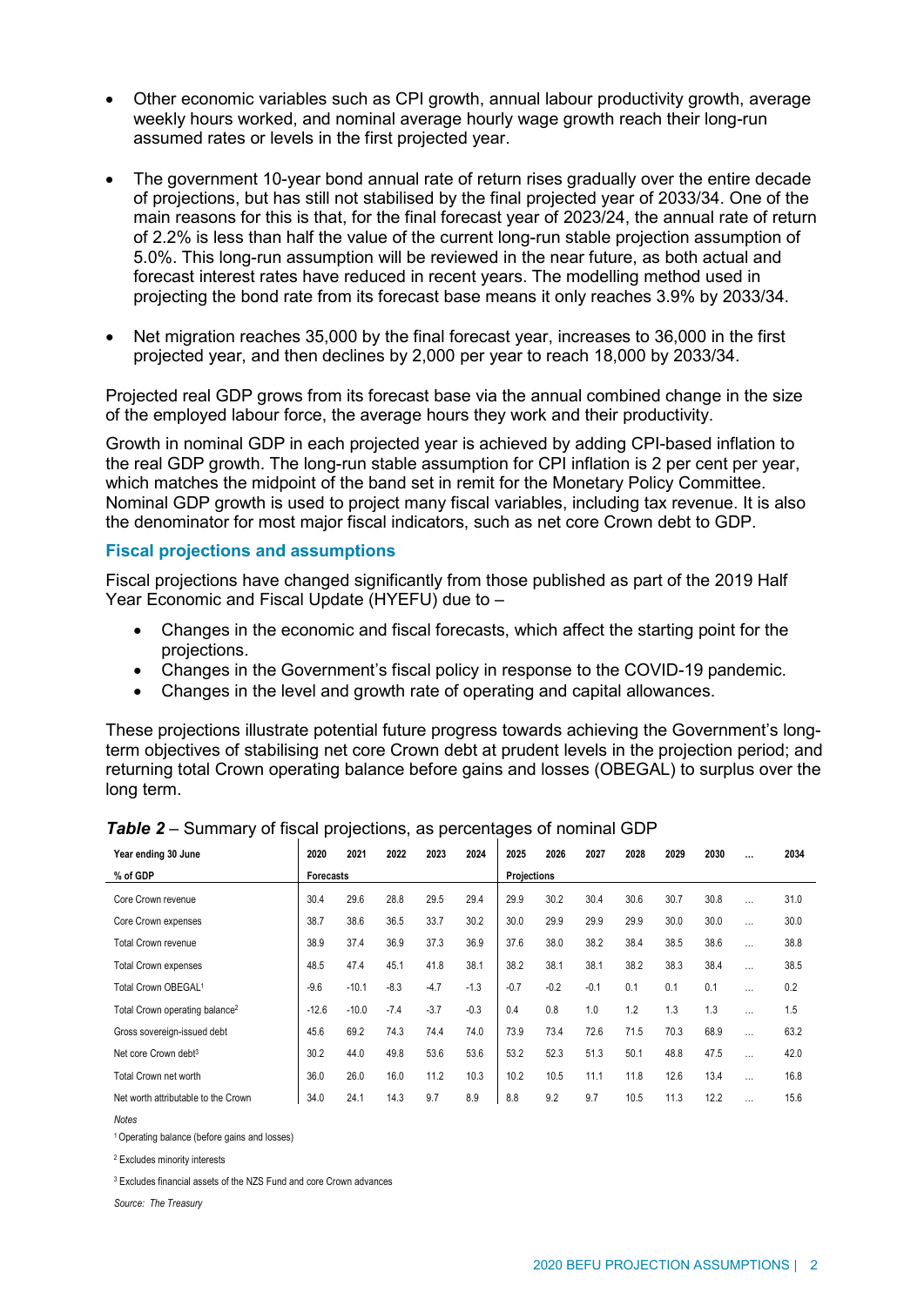- Other economic variables such as CPI growth, annual labour productivity growth, average weekly hours worked, and nominal average hourly wage growth reach their long-run assumed rates or levels in the first projected year.
- The government 10-year bond annual rate of return rises gradually over the entire decade of projections, but has still not stabilised by the final projected year of 2033/34. One of the main reasons for this is that, for the final forecast year of 2023/24, the annual rate of return of 2.2% is less than half the value of the current long-run stable projection assumption of 5.0%. This long-run assumption will be reviewed in the near future, as both actual and forecast interest rates have reduced in recent years. The modelling method used in projecting the bond rate from its forecast base means it only reaches 3.9% by 2033/34.
- Net migration reaches 35,000 by the final forecast year, increases to 36,000 in the first projected year, and then declines by 2,000 per year to reach 18,000 by 2033/34.

Projected real GDP grows from its forecast base via the annual combined change in the size of the employed labour force, the average hours they work and their productivity.

Growth in nominal GDP in each projected year is achieved by adding CPI-based inflation to the real GDP growth. The long-run stable assumption for CPI inflation is 2 per cent per year, which matches the midpoint of the band set in remit for the Monetary Policy Committee. Nominal GDP growth is used to project many fiscal variables, including tax revenue. It is also the denominator for most major fiscal indicators, such as net core Crown debt to GDP.

## **Fiscal projections and assumptions**

Fiscal projections have changed significantly from those published as part of the 2019 Half Year Economic and Fiscal Update (HYEFU) due to –

- Changes in the economic and fiscal forecasts, which affect the starting point for the projections.
- Changes in the Government's fiscal policy in response to the COVID-19 pandemic.
- Changes in the level and growth rate of operating and capital allowances.

These projections illustrate potential future progress towards achieving the Government's longterm objectives of stabilising net core Crown debt at prudent levels in the projection period; and returning total Crown operating balance before gains and losses (OBEGAL) to surplus over the long term.

| Year ending 30 June                        | 2020      | 2021    | 2022   | 2023        | 2024   | 2025   | 2026   | 2027   | 2028 | 2029 | 2030 | $\cdots$ | 2034 |
|--------------------------------------------|-----------|---------|--------|-------------|--------|--------|--------|--------|------|------|------|----------|------|
| % of GDP                                   | Forecasts |         |        | Projections |        |        |        |        |      |      |      |          |      |
| Core Crown revenue                         | 30.4      | 29.6    | 28.8   | 29.5        | 29.4   | 29.9   | 30.2   | 30.4   | 30.6 | 30.7 | 30.8 | $\cdots$ | 31.0 |
| Core Crown expenses                        | 38.7      | 38.6    | 36.5   | 33.7        | 30.2   | 30.0   | 29.9   | 29.9   | 29.9 | 30.0 | 30.0 | $\cdots$ | 30.0 |
| Total Crown revenue                        | 38.9      | 37.4    | 36.9   | 37.3        | 36.9   | 37.6   | 38.0   | 38.2   | 38.4 | 38.5 | 38.6 | $\cdots$ | 38.8 |
| <b>Total Crown expenses</b>                | 48.5      | 47.4    | 45.1   | 41.8        | 38.1   | 38.2   | 38.1   | 38.1   | 38.2 | 38.3 | 38.4 | $\cdots$ | 38.5 |
| Total Crown OBEGAL <sup>1</sup>            | $-9.6$    | $-10.1$ | $-8.3$ | $-4.7$      | $-1.3$ | $-0.7$ | $-0.2$ | $-0.1$ | 0.1  | 0.1  | 0.1  | $\cdots$ | 0.2  |
| Total Crown operating balance <sup>2</sup> | $-12.6$   | $-10.0$ | $-7.4$ | $-3.7$      | $-0.3$ | 0.4    | 0.8    | 1.0    | 1.2  | 1.3  | 1.3  | $\cdots$ | 1.5  |
| Gross sovereign-issued debt                | 45.6      | 69.2    | 74.3   | 74.4        | 74.0   | 73.9   | 73.4   | 72.6   | 71.5 | 70.3 | 68.9 | $\cdots$ | 63.2 |
| Net core Crown debt <sup>3</sup>           | 30.2      | 44.0    | 49.8   | 53.6        | 53.6   | 53.2   | 52.3   | 51.3   | 50.1 | 48.8 | 47.5 | $\cdots$ | 42.0 |
| Total Crown net worth                      | 36.0      | 26.0    | 16.0   | 11.2        | 10.3   | 10.2   | 10.5   | 11.1   | 11.8 | 12.6 | 13.4 | $\cdots$ | 16.8 |
| Net worth attributable to the Crown        | 34.0      | 24.1    | 14.3   | 9.7         | 8.9    | 8.8    | 9.2    | 9.7    | 10.5 | 11.3 | 12.2 | $\cdots$ | 15.6 |

*Table 2* – Summary of fiscal projections, as percentages of nominal GDP

1 Operating balance (before gains and losses)

<sup>2</sup> Excludes minority interests

<sup>3</sup> Excludes financial assets of the NZS Fund and core Crown advances

*Source: The Treasury*

*Notes*